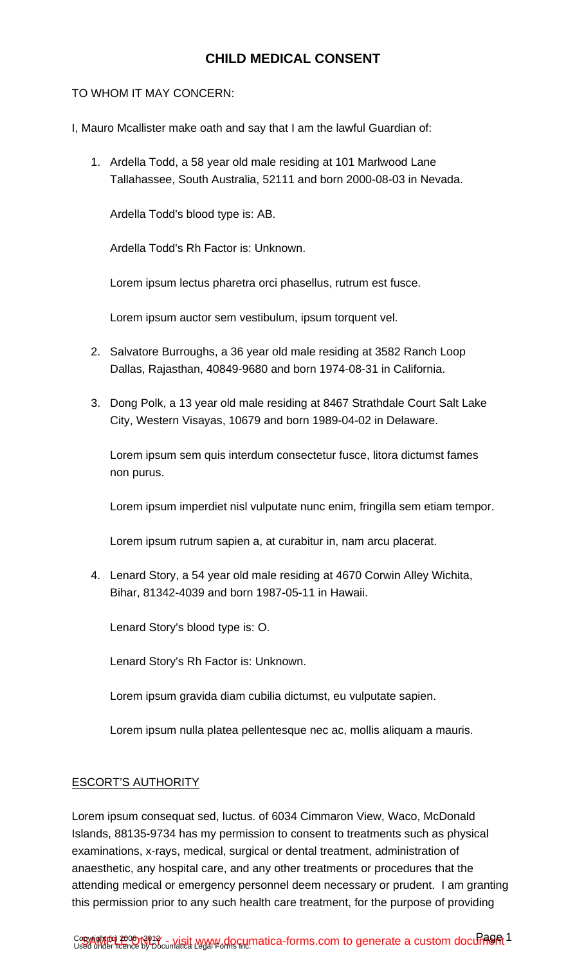# **CHILD MEDICAL CONSENT**

### TO WHOM IT MAY CONCERN:

- I, Mauro Mcallister make oath and say that I am the lawful Guardian of:
	- 1. Ardella Todd, a 58 year old male residing at 101 Marlwood Lane Tallahassee, South Australia, 52111 and born 2000-08-03 in Nevada.

Ardella Todd's blood type is: AB.

Ardella Todd's Rh Factor is: Unknown.

Lorem ipsum lectus pharetra orci phasellus, rutrum est fusce.

Lorem ipsum auctor sem vestibulum, ipsum torquent vel.

- 2. Salvatore Burroughs, a 36 year old male residing at 3582 Ranch Loop Dallas, Rajasthan, 40849-9680 and born 1974-08-31 in California.
- 3. Dong Polk, a 13 year old male residing at 8467 Strathdale Court Salt Lake City, Western Visayas, 10679 and born 1989-04-02 in Delaware.

Lorem ipsum sem quis interdum consectetur fusce, litora dictumst fames non purus.

Lorem ipsum imperdiet nisl vulputate nunc enim, fringilla sem etiam tempor.

Lorem ipsum rutrum sapien a, at curabitur in, nam arcu placerat.

4. Lenard Story, a 54 year old male residing at 4670 Corwin Alley Wichita, Bihar, 81342-4039 and born 1987-05-11 in Hawaii.

Lenard Story's blood type is: O.

Lenard Story's Rh Factor is: Unknown.

Lorem ipsum gravida diam cubilia dictumst, eu vulputate sapien.

Lorem ipsum nulla platea pellentesque nec ac, mollis aliquam a mauris.

#### ESCORT'S AUTHORITY

Lorem ipsum consequat sed, luctus. of 6034 Cimmaron View, Waco, McDonald Islands, 88135-9734 has my permission to consent to treatments such as physical examinations, x-rays, medical, surgical or dental treatment, administration of anaesthetic, any hospital care, and any other treatments or procedures that the attending medical or emergency personnel deem necessary or prudent. I am granting this permission prior to any such health care treatment, for the purpose of providing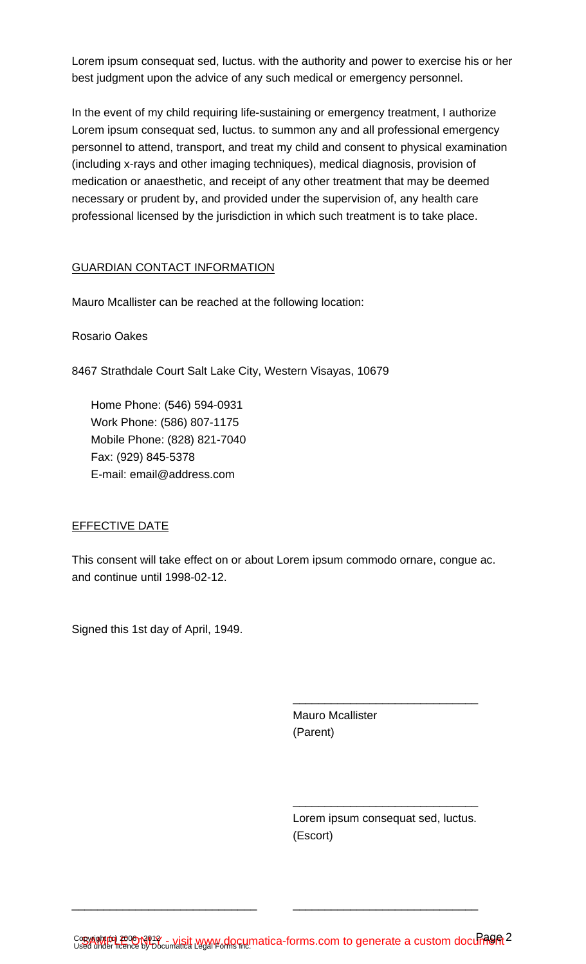Lorem ipsum consequat sed, luctus. with the authority and power to exercise his or her best judgment upon the advice of any such medical or emergency personnel.

In the event of my child requiring life-sustaining or emergency treatment, I authorize Lorem ipsum consequat sed, luctus. to summon any and all professional emergency personnel to attend, transport, and treat my child and consent to physical examination (including x-rays and other imaging techniques), medical diagnosis, provision of medication or anaesthetic, and receipt of any other treatment that may be deemed necessary or prudent by, and provided under the supervision of, any health care professional licensed by the jurisdiction in which such treatment is to take place.

## GUARDIAN CONTACT INFORMATION

Mauro Mcallister can be reached at the following location:

Rosario Oakes

8467 Strathdale Court Salt Lake City, Western Visayas, 10679

Home Phone: (546) 594-0931 Work Phone: (586) 807-1175 Mobile Phone: (828) 821-7040 Fax: (929) 845-5378 E-mail: email@address.com

#### EFFECTIVE DATE

This consent will take effect on or about Lorem ipsum commodo ornare, congue ac. and continue until 1998-02-12.

Signed this 1st day of April, 1949.

Mauro Mcallister (Parent)

Lorem ipsum consequat sed, luctus. (Escort)

\_\_\_\_\_\_\_\_\_\_\_\_\_\_\_\_\_\_\_\_\_\_\_\_\_\_\_\_\_

\_\_\_\_\_\_\_\_\_\_\_\_\_\_\_\_\_\_\_\_\_\_\_\_\_\_\_\_\_

\_\_\_\_\_\_\_\_\_\_\_\_\_\_\_\_\_\_\_\_\_\_\_\_\_\_\_\_\_ \_\_\_\_\_\_\_\_\_\_\_\_\_\_\_\_\_\_\_\_\_\_\_\_\_\_\_\_\_